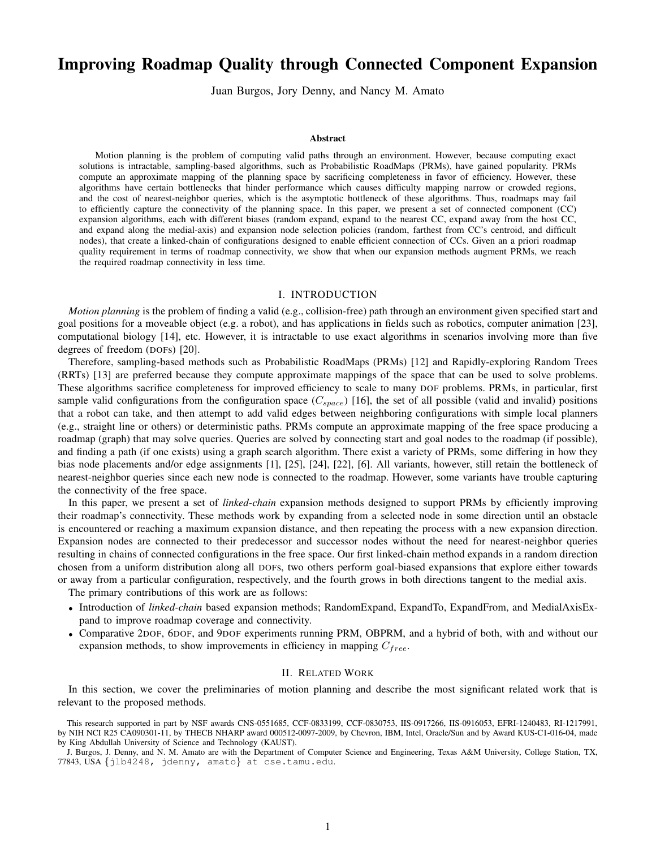# Improving Roadmap Quality through Connected Component Expansion

Juan Burgos, Jory Denny, and Nancy M. Amato

#### Abstract

Motion planning is the problem of computing valid paths through an environment. However, because computing exact solutions is intractable, sampling-based algorithms, such as Probabilistic RoadMaps (PRMs), have gained popularity. PRMs compute an approximate mapping of the planning space by sacrificing completeness in favor of efficiency. However, these algorithms have certain bottlenecks that hinder performance which causes difficulty mapping narrow or crowded regions, and the cost of nearest-neighbor queries, which is the asymptotic bottleneck of these algorithms. Thus, roadmaps may fail to efficiently capture the connectivity of the planning space. In this paper, we present a set of connected component (CC) expansion algorithms, each with different biases (random expand, expand to the nearest CC, expand away from the host CC, and expand along the medial-axis) and expansion node selection policies (random, farthest from CC's centroid, and difficult nodes), that create a linked-chain of configurations designed to enable efficient connection of CCs. Given an a priori roadmap quality requirement in terms of roadmap connectivity, we show that when our expansion methods augment PRMs, we reach the required roadmap connectivity in less time.

# I. INTRODUCTION

*Motion planning* is the problem of finding a valid (e.g., collision-free) path through an environment given specified start and goal positions for a moveable object (e.g. a robot), and has applications in fields such as robotics, computer animation [23], computational biology [14], etc. However, it is intractable to use exact algorithms in scenarios involving more than five degrees of freedom (DOFs) [20].

Therefore, sampling-based methods such as Probabilistic RoadMaps (PRMs) [12] and Rapidly-exploring Random Trees (RRTs) [13] are preferred because they compute approximate mappings of the space that can be used to solve problems. These algorithms sacrifice completeness for improved efficiency to scale to many DOF problems. PRMs, in particular, first sample valid configurations from the configuration space  $(C_{space})$  [16], the set of all possible (valid and invalid) positions that a robot can take, and then attempt to add valid edges between neighboring configurations with simple local planners (e.g., straight line or others) or deterministic paths. PRMs compute an approximate mapping of the free space producing a roadmap (graph) that may solve queries. Queries are solved by connecting start and goal nodes to the roadmap (if possible), and finding a path (if one exists) using a graph search algorithm. There exist a variety of PRMs, some differing in how they bias node placements and/or edge assignments [1], [25], [24], [22], [6]. All variants, however, still retain the bottleneck of nearest-neighbor queries since each new node is connected to the roadmap. However, some variants have trouble capturing the connectivity of the free space.

In this paper, we present a set of *linked-chain* expansion methods designed to support PRMs by efficiently improving their roadmap's connectivity. These methods work by expanding from a selected node in some direction until an obstacle is encountered or reaching a maximum expansion distance, and then repeating the process with a new expansion direction. Expansion nodes are connected to their predecessor and successor nodes without the need for nearest-neighbor queries resulting in chains of connected configurations in the free space. Our first linked-chain method expands in a random direction chosen from a uniform distribution along all DOFs, two others perform goal-biased expansions that explore either towards or away from a particular configuration, respectively, and the fourth grows in both directions tangent to the medial axis.

The primary contributions of this work are as follows:

- Introduction of *linked-chain* based expansion methods; RandomExpand, ExpandTo, ExpandFrom, and MedialAxisExpand to improve roadmap coverage and connectivity.
- Comparative 2DOF, 6DOF, and 9DOF experiments running PRM, OBPRM, and a hybrid of both, with and without our expansion methods, to show improvements in efficiency in mapping  $C_{free}$ .

# II. RELATED WORK

In this section, we cover the preliminaries of motion planning and describe the most significant related work that is relevant to the proposed methods.

This research supported in part by NSF awards CNS-0551685, CCF-0833199, CCF-0830753, IIS-0917266, IIS-0916053, EFRI-1240483, RI-1217991, by NIH NCI R25 CA090301-11, by THECB NHARP award 000512-0097-2009, by Chevron, IBM, Intel, Oracle/Sun and by Award KUS-C1-016-04, made by King Abdullah University of Science and Technology (KAUST).

J. Burgos, J. Denny, and N. M. Amato are with the Department of Computer Science and Engineering, Texas A&M University, College Station, TX, 77843, USA {jlb4248, jdenny, amato} at cse.tamu.edu.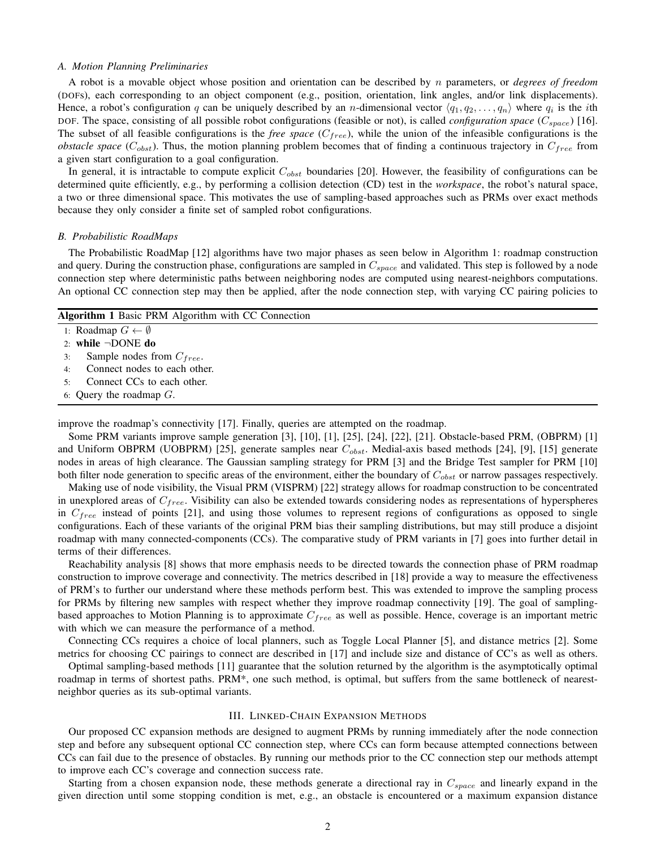#### *A. Motion Planning Preliminaries*

A robot is a movable object whose position and orientation can be described by n parameters, or *degrees of freedom* (DOFs), each corresponding to an object component (e.g., position, orientation, link angles, and/or link displacements). Hence, a robot's configuration q can be uniquely described by an *n*-dimensional vector  $\langle q_1, q_2, \ldots, q_n \rangle$  where  $q_i$  is the *i*th DOF. The space, consisting of all possible robot configurations (feasible or not), is called *configuration space* ( $C_{space}$ ) [16]. The subset of all feasible configurations is the *free space*  $(C_{free})$ , while the union of the infeasible configurations is the *obstacle space* ( $C_{obst}$ ). Thus, the motion planning problem becomes that of finding a continuous trajectory in  $C_{free}$  from a given start configuration to a goal configuration.

In general, it is intractable to compute explicit  $C_{obst}$  boundaries [20]. However, the feasibility of configurations can be determined quite efficiently, e.g., by performing a collision detection (CD) test in the *workspace*, the robot's natural space, a two or three dimensional space. This motivates the use of sampling-based approaches such as PRMs over exact methods because they only consider a finite set of sampled robot configurations.

#### *B. Probabilistic RoadMaps*

The Probabilistic RoadMap [12] algorithms have two major phases as seen below in Algorithm 1: roadmap construction and query. During the construction phase, configurations are sampled in  $C_{space}$  and validated. This step is followed by a node connection step where deterministic paths between neighboring nodes are computed using nearest-neighbors computations. An optional CC connection step may then be applied, after the node connection step, with varying CC pairing policies to

| <b>Algorithm 1 Basic PRM Algorithm with CC Connection</b> |  |  |  |  |
|-----------------------------------------------------------|--|--|--|--|
| 1: Roadmap $G \leftarrow \emptyset$                       |  |  |  |  |
| 2: while $\neg$ DONE do                                   |  |  |  |  |
| Sample nodes from $C_{free}$ .<br>3:                      |  |  |  |  |
| Connect nodes to each other.<br>$4^{\cdot}$               |  |  |  |  |
| Connect CCs to each other.<br>5٠                          |  |  |  |  |
| 6: Query the roadmap $G$ .                                |  |  |  |  |
|                                                           |  |  |  |  |

improve the roadmap's connectivity [17]. Finally, queries are attempted on the roadmap.

Some PRM variants improve sample generation [3], [10], [1], [25], [24], [22], [21]. Obstacle-based PRM, (OBPRM) [1] and Uniform OBPRM (UOBPRM) [25], generate samples near  $C_{obst}$ . Medial-axis based methods [24], [9], [15] generate nodes in areas of high clearance. The Gaussian sampling strategy for PRM [3] and the Bridge Test sampler for PRM [10] both filter node generation to specific areas of the environment, either the boundary of  $C_{obst}$  or narrow passages respectively.

Making use of node visibility, the Visual PRM (VISPRM) [22] strategy allows for roadmap construction to be concentrated in unexplored areas of  $C_{free}$ . Visibility can also be extended towards considering nodes as representations of hyperspheres in  $C_{free}$  instead of points [21], and using those volumes to represent regions of configurations as opposed to single configurations. Each of these variants of the original PRM bias their sampling distributions, but may still produce a disjoint roadmap with many connected-components (CCs). The comparative study of PRM variants in [7] goes into further detail in terms of their differences.

Reachability analysis [8] shows that more emphasis needs to be directed towards the connection phase of PRM roadmap construction to improve coverage and connectivity. The metrics described in [18] provide a way to measure the effectiveness of PRM's to further our understand where these methods perform best. This was extended to improve the sampling process for PRMs by filtering new samples with respect whether they improve roadmap connectivity [19]. The goal of samplingbased approaches to Motion Planning is to approximate  $C_{free}$  as well as possible. Hence, coverage is an important metric with which we can measure the performance of a method.

Connecting CCs requires a choice of local planners, such as Toggle Local Planner [5], and distance metrics [2]. Some metrics for choosing CC pairings to connect are described in [17] and include size and distance of CC's as well as others.

Optimal sampling-based methods [11] guarantee that the solution returned by the algorithm is the asymptotically optimal roadmap in terms of shortest paths. PRM\*, one such method, is optimal, but suffers from the same bottleneck of nearestneighbor queries as its sub-optimal variants.

#### III. LINKED-CHAIN EXPANSION METHODS

Our proposed CC expansion methods are designed to augment PRMs by running immediately after the node connection step and before any subsequent optional CC connection step, where CCs can form because attempted connections between CCs can fail due to the presence of obstacles. By running our methods prior to the CC connection step our methods attempt to improve each CC's coverage and connection success rate.

Starting from a chosen expansion node, these methods generate a directional ray in  $C_{space}$  and linearly expand in the given direction until some stopping condition is met, e.g., an obstacle is encountered or a maximum expansion distance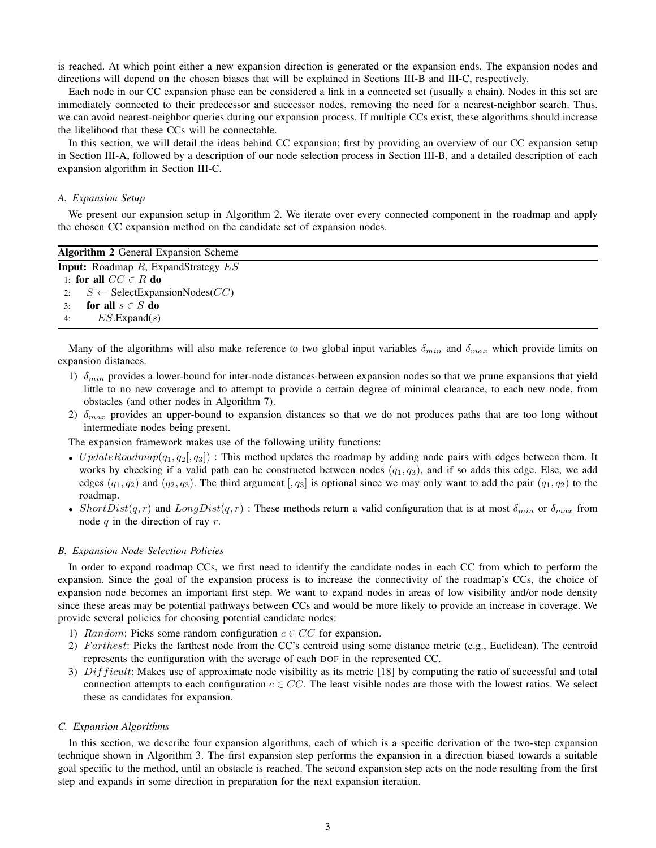is reached. At which point either a new expansion direction is generated or the expansion ends. The expansion nodes and directions will depend on the chosen biases that will be explained in Sections III-B and III-C, respectively.

Each node in our CC expansion phase can be considered a link in a connected set (usually a chain). Nodes in this set are immediately connected to their predecessor and successor nodes, removing the need for a nearest-neighbor search. Thus, we can avoid nearest-neighbor queries during our expansion process. If multiple CCs exist, these algorithms should increase the likelihood that these CCs will be connectable.

In this section, we will detail the ideas behind CC expansion; first by providing an overview of our CC expansion setup in Section III-A, followed by a description of our node selection process in Section III-B, and a detailed description of each expansion algorithm in Section III-C.

#### *A. Expansion Setup*

We present our expansion setup in Algorithm 2. We iterate over every connected component in the roadmap and apply the chosen CC expansion method on the candidate set of expansion nodes.

| <b>Algorithm 2 General Expansion Scheme</b>         |
|-----------------------------------------------------|
| <b>Input:</b> Roadmap $R$ , ExpandStrategy $ES$     |
| 1: for all $CC \in R$ do                            |
| 2: $S \leftarrow$ SelectExpansionNodes( <i>CC</i> ) |
| for all $s \in S$ do<br>3 <sup>1</sup>              |
| $ES$ .Expand(s)                                     |
|                                                     |

Many of the algorithms will also make reference to two global input variables  $\delta_{min}$  and  $\delta_{max}$  which provide limits on expansion distances.

- 1)  $\delta_{min}$  provides a lower-bound for inter-node distances between expansion nodes so that we prune expansions that yield little to no new coverage and to attempt to provide a certain degree of minimal clearance, to each new node, from obstacles (and other nodes in Algorithm 7).
- 2)  $\delta_{max}$  provides an upper-bound to expansion distances so that we do not produces paths that are too long without intermediate nodes being present.

The expansion framework makes use of the following utility functions:

- UpdateRoadmap( $q_1, q_2, q_3$ ]) : This method updates the roadmap by adding node pairs with edges between them. It works by checking if a valid path can be constructed between nodes  $(q_1, q_3)$ , and if so adds this edge. Else, we add edges  $(q_1, q_2)$  and  $(q_2, q_3)$ . The third argument  $\lfloor q_3 \rfloor$  is optional since we may only want to add the pair  $(q_1, q_2)$  to the roadmap.
- Short $Dist(q, r)$  and  $LongDist(q, r)$ : These methods return a valid configuration that is at most  $\delta_{min}$  or  $\delta_{max}$  from node  $q$  in the direction of ray  $r$ .

#### *B. Expansion Node Selection Policies*

In order to expand roadmap CCs, we first need to identify the candidate nodes in each CC from which to perform the expansion. Since the goal of the expansion process is to increase the connectivity of the roadmap's CCs, the choice of expansion node becomes an important first step. We want to expand nodes in areas of low visibility and/or node density since these areas may be potential pathways between CCs and would be more likely to provide an increase in coverage. We provide several policies for choosing potential candidate nodes:

- 1) Random: Picks some random configuration  $c \in CC$  for expansion.
- 2) Farthest: Picks the farthest node from the CC's centroid using some distance metric (e.g., Euclidean). The centroid represents the configuration with the average of each DOF in the represented CC.
- 3)  $Difficult: Makes use of approximate node visibility as its metric [18] by computing the ratio of successful and total$ connection attempts to each configuration  $c \in CC$ . The least visible nodes are those with the lowest ratios. We select these as candidates for expansion.

## *C. Expansion Algorithms*

In this section, we describe four expansion algorithms, each of which is a specific derivation of the two-step expansion technique shown in Algorithm 3. The first expansion step performs the expansion in a direction biased towards a suitable goal specific to the method, until an obstacle is reached. The second expansion step acts on the node resulting from the first step and expands in some direction in preparation for the next expansion iteration.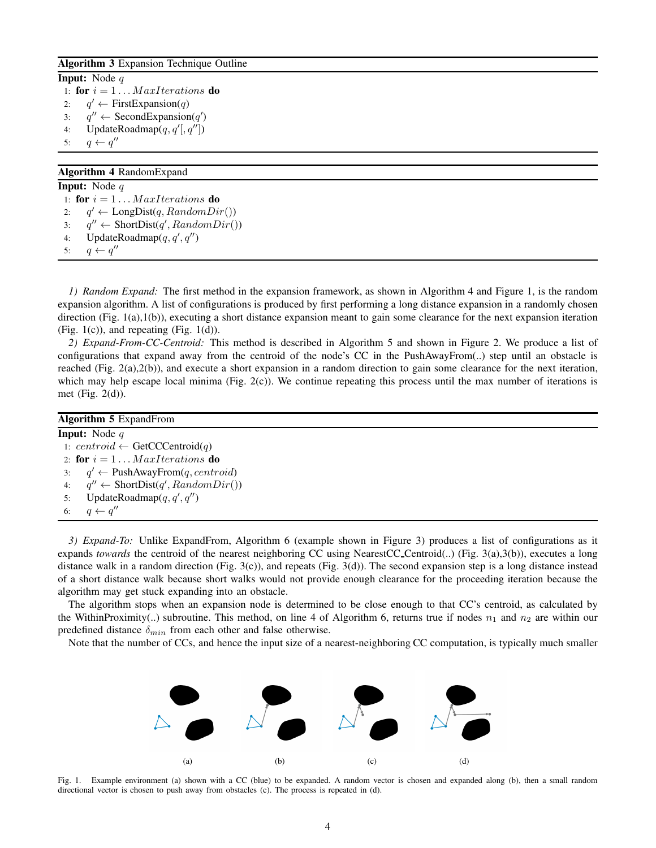## Algorithm 3 Expansion Technique Outline

Input: Node q 1: for  $i = 1 \ldots MaxIterations$  do  $2:$  $q' \leftarrow$  FirstExpansion(q) 3:  $q'' \leftarrow \text{SecondExpansion}(q')$ 4: UpdateRoadmap $(q, q'[, q'']$ 5:  $q \leftarrow q''$ 

# Algorithm 4 RandomExpand

Input: Node q 1: for  $i = 1 \ldots Max Iterations$  do  $2:$  $q' \leftarrow \text{LongDist}(q, RandomDir())$ 3:  $q'' \leftarrow \text{ShortDist}(q', RandomDir())$ 4: UpdateRoadmap $(q, q', q'')$ 5:  $q \leftarrow q''$ 

*1) Random Expand:* The first method in the expansion framework, as shown in Algorithm 4 and Figure 1, is the random expansion algorithm. A list of configurations is produced by first performing a long distance expansion in a randomly chosen direction (Fig. 1(a),1(b)), executing a short distance expansion meant to gain some clearance for the next expansion iteration (Fig. 1(c)), and repeating (Fig. 1(d)).

*2) Expand-From-CC-Centroid:* This method is described in Algorithm 5 and shown in Figure 2. We produce a list of configurations that expand away from the centroid of the node's CC in the PushAwayFrom(..) step until an obstacle is reached (Fig. 2(a),2(b)), and execute a short expansion in a random direction to gain some clearance for the next iteration, which may help escape local minima (Fig. 2(c)). We continue repeating this process until the max number of iterations is met (Fig. 2(d)).

| <b>Algorithm 5 ExpandFrom</b>                         |
|-------------------------------------------------------|
| <b>Input:</b> Node $q$                                |
| 1: centroid $\leftarrow$ GetCCCentroid(q)             |
| 2: for $i = 1 \dots Max Iterations$ do                |
| $q' \leftarrow$ PushAwayFrom(q, centroid)<br>3:       |
| 4: $q'' \leftarrow \text{ShortDist}(q', RandomDir())$ |
| UpdateRoadmap $(q, q', q'')$<br>5:                    |
| 6: $q \leftarrow q''$                                 |
|                                                       |

*3) Expand-To:* Unlike ExpandFrom, Algorithm 6 (example shown in Figure 3) produces a list of configurations as it expands *towards* the centroid of the nearest neighboring CC using NearestCC\_Centroid(..) (Fig. 3(a),3(b)), executes a long distance walk in a random direction (Fig. 3(c)), and repeats (Fig. 3(d)). The second expansion step is a long distance instead of a short distance walk because short walks would not provide enough clearance for the proceeding iteration because the algorithm may get stuck expanding into an obstacle.

The algorithm stops when an expansion node is determined to be close enough to that CC's centroid, as calculated by the WithinProximity(..) subroutine. This method, on line 4 of Algorithm 6, returns true if nodes  $n_1$  and  $n_2$  are within our predefined distance  $\delta_{min}$  from each other and false otherwise.

Note that the number of CCs, and hence the input size of a nearest-neighboring CC computation, is typically much smaller



Fig. 1. Example environment (a) shown with a CC (blue) to be expanded. A random vector is chosen and expanded along (b), then a small random directional vector is chosen to push away from obstacles (c). The process is repeated in (d).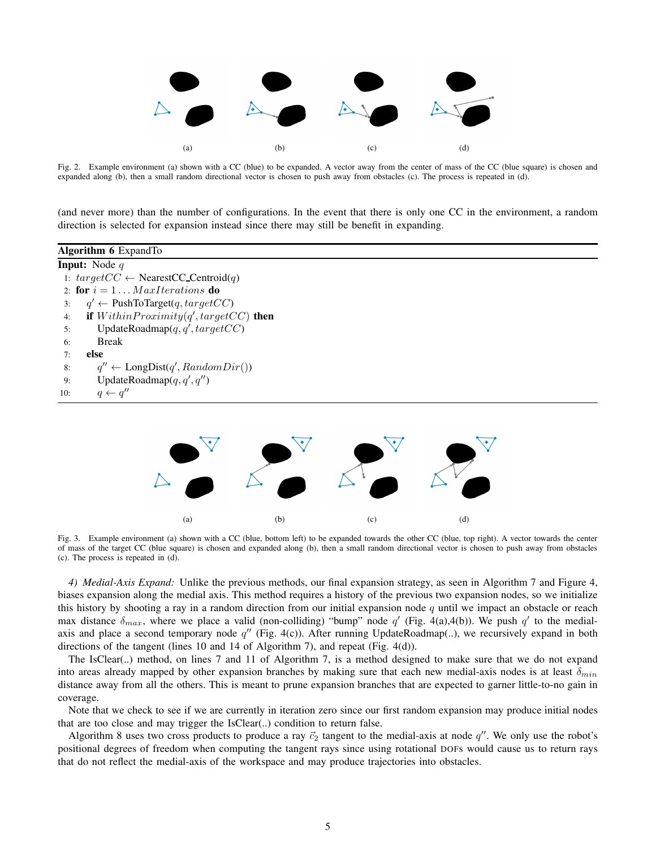

Fig. 2. Example environment (a) shown with a CC (blue) to be expanded. A vector away from the center of mass of the CC (blue square) is chosen and expanded along (b), then a small random directional vector is chosen to push away from obstacles (c). The process is repeated in (d).

(and never more) than the number of configurations. In the event that there is only one CC in the environment, a random direction is selected for expansion instead since there may still be benefit in expanding.



Fig. 3. Example environment (a) shown with a CC (blue, bottom left) to be expanded towards the other CC (blue, top right). A vector towards the center of mass of the target CC (blue square) is chosen and expanded along (b), then a small random directional vector is chosen to push away from obstacles (c). The process is repeated in (d).

*4) Medial-Axis Expand:* Unlike the previous methods, our final expansion strategy, as seen in Algorithm 7 and Figure 4, biases expansion along the medial axis. This method requires a history of the previous two expansion nodes, so we initialize this history by shooting a ray in a random direction from our initial expansion node  $q$  until we impact an obstacle or reach max distance  $\delta_{max}$ , where we place a valid (non-colliding) "bump" node q' (Fig. 4(a),4(b)). We push q' to the medialaxis and place a second temporary node  $q''$  (Fig. 4(c)). After running UpdateRoadmap(..), we recursively expand in both directions of the tangent (lines 10 and 14 of Algorithm 7), and repeat (Fig. 4(d)).

The IsClear(..) method, on lines 7 and 11 of Algorithm 7, is a method designed to make sure that we do not expand into areas already mapped by other expansion branches by making sure that each new medial-axis nodes is at least  $\delta_{min}$ distance away from all the others. This is meant to prune expansion branches that are expected to garner little-to-no gain in coverage.

Note that we check to see if we are currently in iteration zero since our first random expansion may produce initial nodes that are too close and may trigger the IsClear(..) condition to return false.

Algorithm 8 uses two cross products to produce a ray  $\vec{c}_2$  tangent to the medial-axis at node  $q''$ . We only use the robot's positional degrees of freedom when computing the tangent rays since using rotational DOFs would cause us to return rays that do not reflect the medial-axis of the workspace and may produce trajectories into obstacles.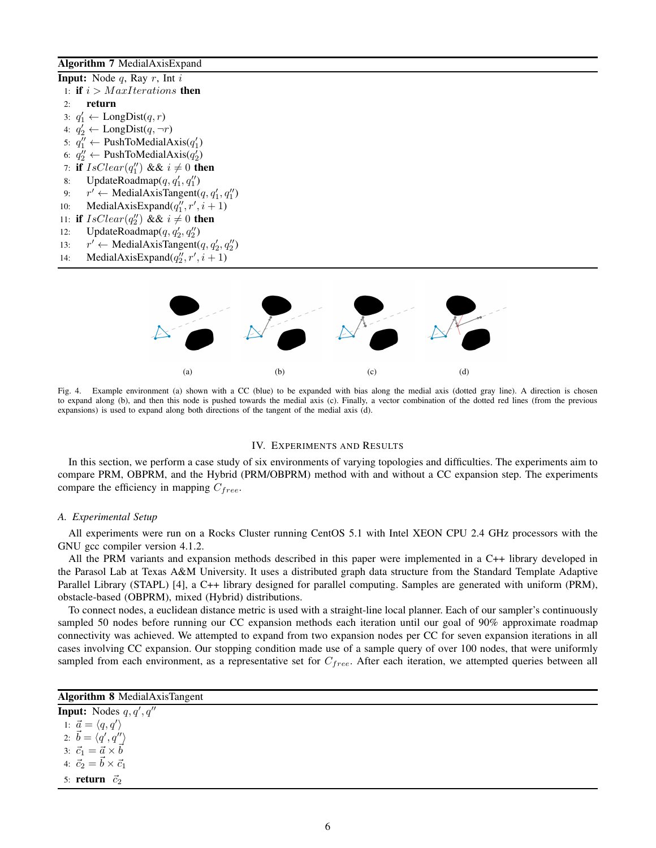# Algorithm 7 MedialAxisExpand

```
Input: Node q, Ray r, Int i1: if i > Max Iterations then
 2: return
  3: q'_1 \leftarrow \text{LongDist}(q, r)4: q_2' \leftarrow \text{LongDist}(q, \neg r)5: q_1'' \leftarrow \text{PushToMediaAxis}(q_1')6: q_2'' \leftarrow \text{PushToMedianAxis}(q_2')7: if IsClear(q''_1) && i \neq 0 then
  8: UpdateRoadmap(q, q'_1, q''_1)9: r' \leftarrow \text{MedianAxi} (q, q'_1, q''_1)10: MedialAxisExpand(q''_1, r', i+1)11: if IsClear(q''_2) && i \neq 0 then
12: UpdateRoadmap(q, q'_2, q''_2)13:\gamma' \leftarrow \text{Median} \rightarrow \text{pi} \rightarrow \text{pi} \rightarrow \text{pi} \rightarrow \text{pi} \rightarrow \text{pi} \rightarrow \text{pi} \rightarrow \text{pi} \rightarrow \text{pi} \rightarrow \text{pi} \rightarrow \text{pi} \rightarrow \text{pi} \rightarrow \text{pi} \rightarrow \text{pi} \rightarrow \text{pi} \rightarrow \text{pi} \rightarrow \text{pi} \rightarrow \text{pi} \rightarrow \text{pi} \rightarrow \text{pi} \rightarrow \text{pi} \rightarrow \text{pi} \rightarrow \text{pi} \rightarrow \text{pi} \rightarrow \text{pi} \rightarrow \text{pi} \rightarrow \text{pi} \rightarrow \text{pi} \rightarrow \text{pi} \rightarrow \text{pi} \rightarrow \text{pi14: MedialAxisExpand(q_2'', r', i+1)
```


Fig. 4. Example environment (a) shown with a CC (blue) to be expanded with bias along the medial axis (dotted gray line). A direction is chosen to expand along (b), and then this node is pushed towards the medial axis (c). Finally, a vector combination of the dotted red lines (from the previous expansions) is used to expand along both directions of the tangent of the medial axis (d).

# IV. EXPERIMENTS AND RESULTS

In this section, we perform a case study of six environments of varying topologies and difficulties. The experiments aim to compare PRM, OBPRM, and the Hybrid (PRM/OBPRM) method with and without a CC expansion step. The experiments compare the efficiency in mapping  $C_{free}$ .

# *A. Experimental Setup*

All experiments were run on a Rocks Cluster running CentOS 5.1 with Intel XEON CPU 2.4 GHz processors with the GNU gcc compiler version 4.1.2.

All the PRM variants and expansion methods described in this paper were implemented in a C++ library developed in the Parasol Lab at Texas A&M University. It uses a distributed graph data structure from the Standard Template Adaptive Parallel Library (STAPL) [4], a C++ library designed for parallel computing. Samples are generated with uniform (PRM), obstacle-based (OBPRM), mixed (Hybrid) distributions.

To connect nodes, a euclidean distance metric is used with a straight-line local planner. Each of our sampler's continuously sampled 50 nodes before running our CC expansion methods each iteration until our goal of 90% approximate roadmap connectivity was achieved. We attempted to expand from two expansion nodes per CC for seven expansion iterations in all cases involving CC expansion. Our stopping condition made use of a sample query of over 100 nodes, that were uniformly sampled from each environment, as a representative set for  $C_{free}$ . After each iteration, we attempted queries between all

# Algorithm 8 MedialAxisTangent

**Input:** Nodes  $q, q', q''$ 1:  $\vec{a} = \langle q, q' \rangle$ 2:  $\vec{b} = \langle \vec{q}', \vec{q}'' \rangle$ 3:  $\vec{c}_1 = \vec{a} \times \vec{b}$ 4:  $\vec{c}_2 = \vec{b} \times \vec{c}_1$ 5: return  $\vec{c}_2$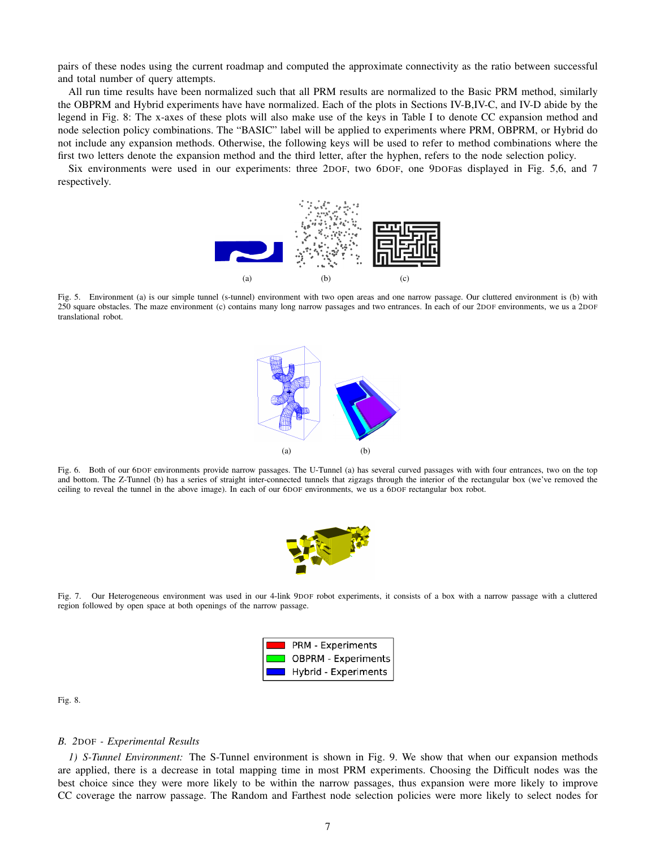pairs of these nodes using the current roadmap and computed the approximate connectivity as the ratio between successful and total number of query attempts.

All run time results have been normalized such that all PRM results are normalized to the Basic PRM method, similarly the OBPRM and Hybrid experiments have have normalized. Each of the plots in Sections IV-B,IV-C, and IV-D abide by the legend in Fig. 8: The x-axes of these plots will also make use of the keys in Table I to denote CC expansion method and node selection policy combinations. The "BASIC" label will be applied to experiments where PRM, OBPRM, or Hybrid do not include any expansion methods. Otherwise, the following keys will be used to refer to method combinations where the first two letters denote the expansion method and the third letter, after the hyphen, refers to the node selection policy.

Six environments were used in our experiments: three 2DOF, two 6DOF, one 9DOFas displayed in Fig. 5,6, and 7 respectively.



Fig. 5. Environment (a) is our simple tunnel (s-tunnel) environment with two open areas and one narrow passage. Our cluttered environment is (b) with 250 square obstacles. The maze environment (c) contains many long narrow passages and two entrances. In each of our 2DOF environments, we us a 2DOF translational robot.



Fig. 6. Both of our 6DOF environments provide narrow passages. The U-Tunnel (a) has several curved passages with with four entrances, two on the top and bottom. The Z-Tunnel (b) has a series of straight inter-connected tunnels that zigzags through the interior of the rectangular box (we've removed the ceiling to reveal the tunnel in the above image). In each of our 6DOF environments, we us a 6DOF rectangular box robot.



Fig. 7. Our Heterogeneous environment was used in our 4-link 9DOF robot experiments, it consists of a box with a narrow passage with a cluttered region followed by open space at both openings of the narrow passage.



Fig. 8.

## *B. 2*DOF *- Experimental Results*

*1) S-Tunnel Environment:* The S-Tunnel environment is shown in Fig. 9. We show that when our expansion methods are applied, there is a decrease in total mapping time in most PRM experiments. Choosing the Difficult nodes was the best choice since they were more likely to be within the narrow passages, thus expansion were more likely to improve CC coverage the narrow passage. The Random and Farthest node selection policies were more likely to select nodes for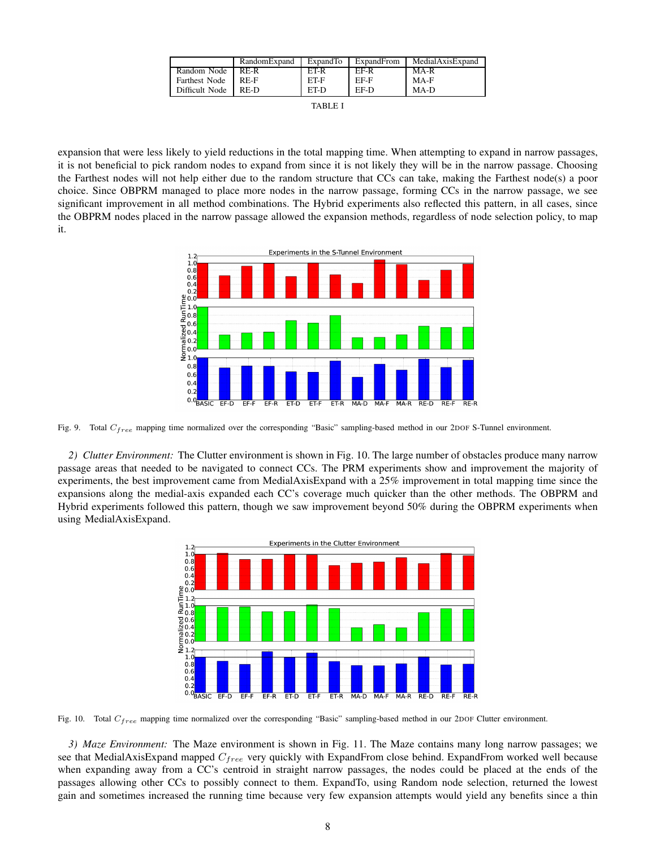|                | RandomExpand | ExpandTo | ExpandFrom | MedialAxisExpand |
|----------------|--------------|----------|------------|------------------|
| Random Node    | RE-R         | ET-R     | FF-R       | $MA-R$           |
| Farthest Node  | RE-F         | ET-F     | EF-F       | MA-F             |
| Difficult Node | RE-D         | ET-D     | EF-D       | MA-D             |
|                |              |          |            |                  |

|--|--|

expansion that were less likely to yield reductions in the total mapping time. When attempting to expand in narrow passages, it is not beneficial to pick random nodes to expand from since it is not likely they will be in the narrow passage. Choosing the Farthest nodes will not help either due to the random structure that CCs can take, making the Farthest node(s) a poor choice. Since OBPRM managed to place more nodes in the narrow passage, forming CCs in the narrow passage, we see significant improvement in all method combinations. The Hybrid experiments also reflected this pattern, in all cases, since the OBPRM nodes placed in the narrow passage allowed the expansion methods, regardless of node selection policy, to map it.



Fig. 9. Total C<sub>free</sub> mapping time normalized over the corresponding "Basic" sampling-based method in our 2DOF S-Tunnel environment.

*2) Clutter Environment:* The Clutter environment is shown in Fig. 10. The large number of obstacles produce many narrow passage areas that needed to be navigated to connect CCs. The PRM experiments show and improvement the majority of experiments, the best improvement came from MedialAxisExpand with a 25% improvement in total mapping time since the expansions along the medial-axis expanded each CC's coverage much quicker than the other methods. The OBPRM and Hybrid experiments followed this pattern, though we saw improvement beyond 50% during the OBPRM experiments when using MedialAxisExpand.



Fig. 10. Total  $C_{free}$  mapping time normalized over the corresponding "Basic" sampling-based method in our 2DOF Clutter environment.

*3) Maze Environment:* The Maze environment is shown in Fig. 11. The Maze contains many long narrow passages; we see that MedialAxisExpand mapped  $C_{free}$  very quickly with ExpandFrom close behind. ExpandFrom worked well because when expanding away from a CC's centroid in straight narrow passages, the nodes could be placed at the ends of the passages allowing other CCs to possibly connect to them. ExpandTo, using Random node selection, returned the lowest gain and sometimes increased the running time because very few expansion attempts would yield any benefits since a thin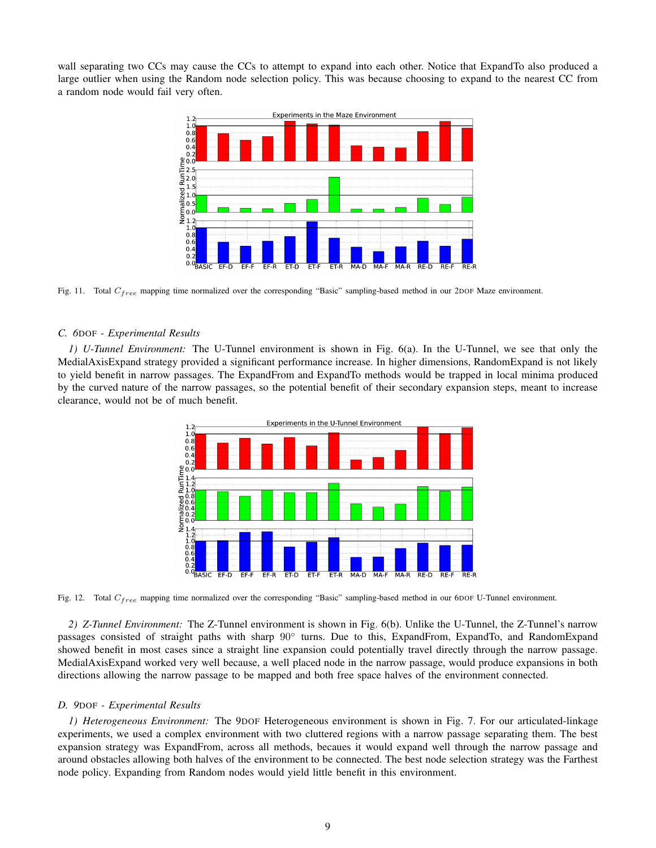wall separating two CCs may cause the CCs to attempt to expand into each other. Notice that ExpandTo also produced a large outlier when using the Random node selection policy. This was because choosing to expand to the nearest CC from a random node would fail very often.



Fig. 11. Total C<sub>free</sub> mapping time normalized over the corresponding "Basic" sampling-based method in our 2DOF Maze environment.

#### *C. 6*DOF *- Experimental Results*

*1) U-Tunnel Environment:* The U-Tunnel environment is shown in Fig. 6(a). In the U-Tunnel, we see that only the MedialAxisExpand strategy provided a significant performance increase. In higher dimensions, RandomExpand is not likely to yield benefit in narrow passages. The ExpandFrom and ExpandTo methods would be trapped in local minima produced by the curved nature of the narrow passages, so the potential benefit of their secondary expansion steps, meant to increase clearance, would not be of much benefit.



Fig. 12. Total  $C_{free}$  mapping time normalized over the corresponding "Basic" sampling-based method in our 6DOF U-Tunnel environment.

*2) Z-Tunnel Environment:* The Z-Tunnel environment is shown in Fig. 6(b). Unlike the U-Tunnel, the Z-Tunnel's narrow passages consisted of straight paths with sharp 90° turns. Due to this, ExpandFrom, ExpandTo, and RandomExpand showed benefit in most cases since a straight line expansion could potentially travel directly through the narrow passage. MedialAxisExpand worked very well because, a well placed node in the narrow passage, would produce expansions in both directions allowing the narrow passage to be mapped and both free space halves of the environment connected.

## *D. 9*DOF *- Experimental Results*

*1) Heterogeneous Environment:* The 9DOF Heterogeneous environment is shown in Fig. 7. For our articulated-linkage experiments, we used a complex environment with two cluttered regions with a narrow passage separating them. The best expansion strategy was ExpandFrom, across all methods, becaues it would expand well through the narrow passage and around obstacles allowing both halves of the environment to be connected. The best node selection strategy was the Farthest node policy. Expanding from Random nodes would yield little benefit in this environment.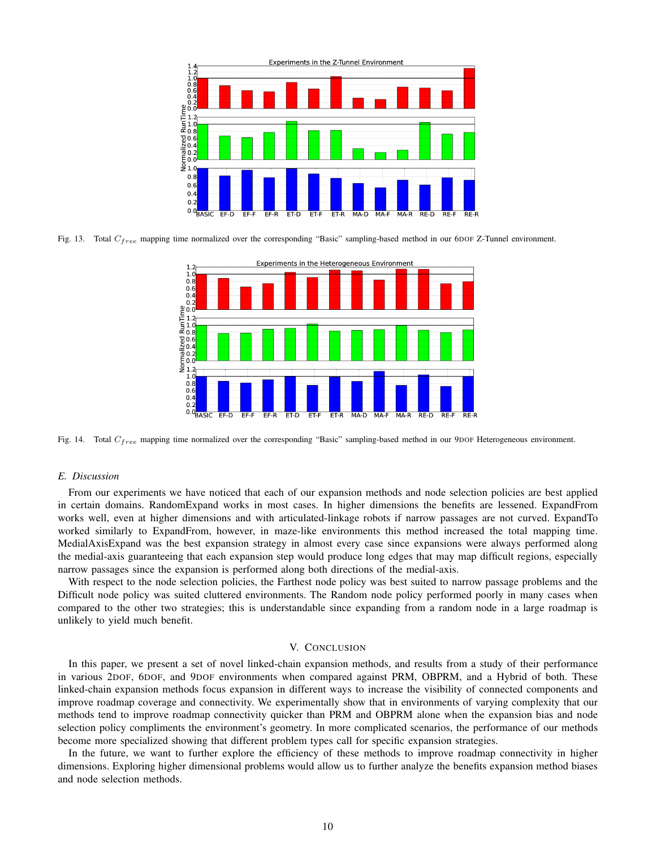

Fig. 13. Total  $C_{free}$  mapping time normalized over the corresponding "Basic" sampling-based method in our 6DOF Z-Tunnel environment.



Fig. 14. Total  $C_{free}$  mapping time normalized over the corresponding "Basic" sampling-based method in our 9DOF Heterogeneous environment.

# *E. Discussion*

From our experiments we have noticed that each of our expansion methods and node selection policies are best applied in certain domains. RandomExpand works in most cases. In higher dimensions the benefits are lessened. ExpandFrom works well, even at higher dimensions and with articulated-linkage robots if narrow passages are not curved. ExpandTo worked similarly to ExpandFrom, however, in maze-like environments this method increased the total mapping time. MedialAxisExpand was the best expansion strategy in almost every case since expansions were always performed along the medial-axis guaranteeing that each expansion step would produce long edges that may map difficult regions, especially narrow passages since the expansion is performed along both directions of the medial-axis.

With respect to the node selection policies, the Farthest node policy was best suited to narrow passage problems and the Difficult node policy was suited cluttered environments. The Random node policy performed poorly in many cases when compared to the other two strategies; this is understandable since expanding from a random node in a large roadmap is unlikely to yield much benefit.

## V. CONCLUSION

In this paper, we present a set of novel linked-chain expansion methods, and results from a study of their performance in various 2DOF, 6DOF, and 9DOF environments when compared against PRM, OBPRM, and a Hybrid of both. These linked-chain expansion methods focus expansion in different ways to increase the visibility of connected components and improve roadmap coverage and connectivity. We experimentally show that in environments of varying complexity that our methods tend to improve roadmap connectivity quicker than PRM and OBPRM alone when the expansion bias and node selection policy compliments the environment's geometry. In more complicated scenarios, the performance of our methods become more specialized showing that different problem types call for specific expansion strategies.

In the future, we want to further explore the efficiency of these methods to improve roadmap connectivity in higher dimensions. Exploring higher dimensional problems would allow us to further analyze the benefits expansion method biases and node selection methods.